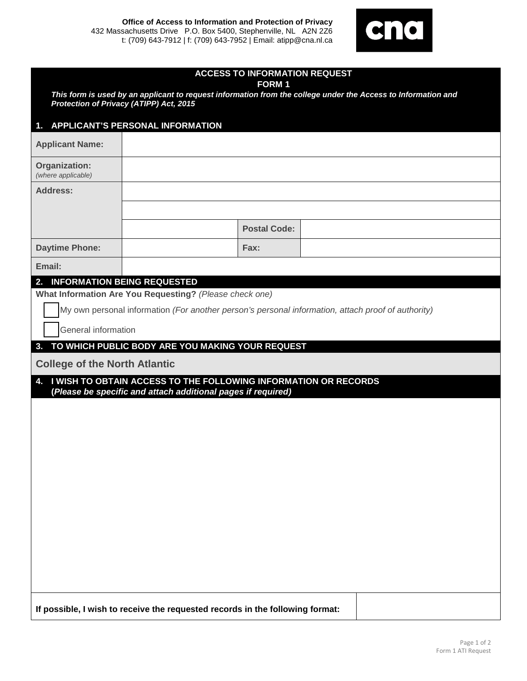**Office of Access to Information and Protection of Privacy** 432 Massachusetts Drive P.O. Box 5400, Stephenville, NL A2N 2Z6 t: (709) 643-7912 | f: (709) 643-7952 | Email: atipp@cna.nl.ca



|                                                          | <b>ACCESS TO INFORMATION REQUEST</b><br><b>FORM1</b>                                                          |
|----------------------------------------------------------|---------------------------------------------------------------------------------------------------------------|
| Protection of Privacy (ATIPP) Act, 2015                  | This form is used by an applicant to request information from the college under the Access to Information and |
|                                                          |                                                                                                               |
| <b>APPLICANT'S PERSONAL INFORMATION</b><br>$\mathbf 1$ . |                                                                                                               |
| <b>Applicant Name:</b>                                   |                                                                                                               |
| Organization:<br>(where applicable)                      |                                                                                                               |
| <b>Address:</b>                                          |                                                                                                               |
|                                                          |                                                                                                               |
|                                                          | <b>Postal Code:</b>                                                                                           |
| <b>Daytime Phone:</b>                                    | Fax:                                                                                                          |
| Email:                                                   |                                                                                                               |
| <b>INFORMATION BEING REQUESTED</b><br>2.                 |                                                                                                               |
| What Information Are You Requesting? (Please check one)  |                                                                                                               |
|                                                          | My own personal information (For another person's personal information, attach proof of authority)            |
| General information                                      |                                                                                                               |
| 3.                                                       | TO WHICH PUBLIC BODY ARE YOU MAKING YOUR REQUEST                                                              |
| <b>College of the North Atlantic</b>                     |                                                                                                               |
| 4.                                                       | I WISH TO OBTAIN ACCESS TO THE FOLLOWING INFORMATION OR RECORDS                                               |
|                                                          | (Please be specific and attach additional pages if required)                                                  |
|                                                          |                                                                                                               |
|                                                          |                                                                                                               |
|                                                          |                                                                                                               |
|                                                          |                                                                                                               |
|                                                          |                                                                                                               |
|                                                          |                                                                                                               |
|                                                          |                                                                                                               |
|                                                          |                                                                                                               |
|                                                          |                                                                                                               |
|                                                          |                                                                                                               |
|                                                          |                                                                                                               |
|                                                          |                                                                                                               |
|                                                          | If possible, I wish to receive the requested records in the following format:                                 |